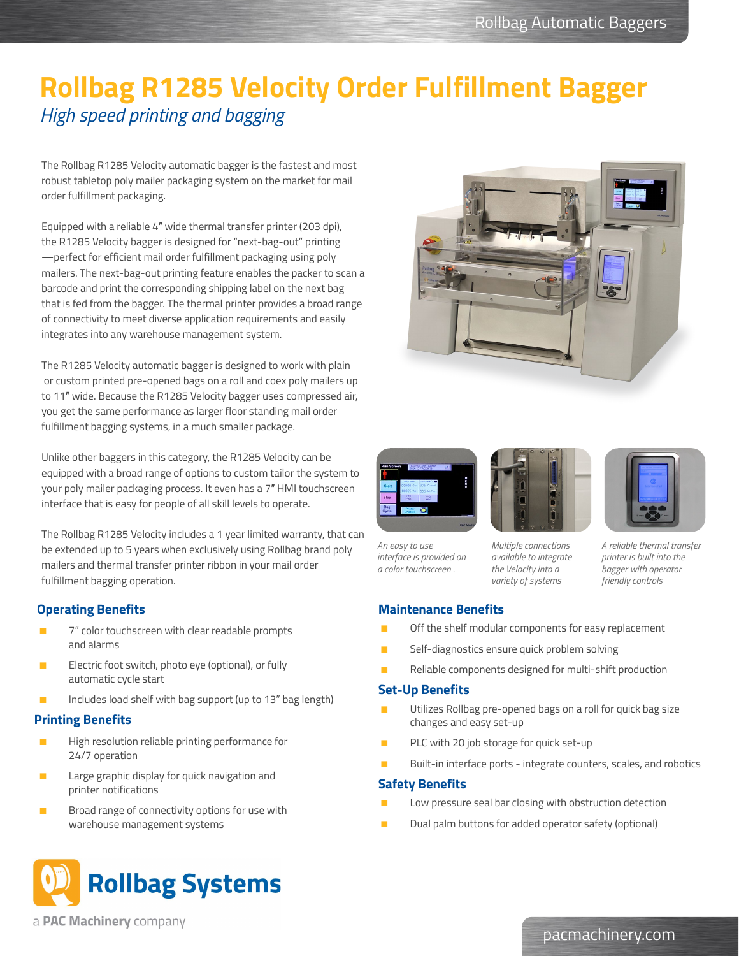## **Rollbag R1285 Velocity Order Fulfillment Bagger** *High speed printing and bagging*

The Rollbag R1285 Velocity automatic bagger is the fastest and most robust tabletop poly mailer packaging system on the market for mail order fulfillment packaging.

Equipped with a reliable 4″ wide thermal transfer printer (203 dpi), the R1285 Velocity bagger is designed for "next-bag-out" printing —perfect for efficient mail order fulfillment packaging using poly mailers. The next-bag-out printing feature enables the packer to scan a barcode and print the corresponding shipping label on the next bag that is fed from the bagger. The thermal printer provides a broad range of connectivity to meet diverse application requirements and easily integrates into any warehouse management system.

The R1285 Velocity automatic bagger is designed to work with plain or custom printed pre-opened bags on a roll and coex poly mailers up to 11″ wide. Because the R1285 Velocity bagger uses compressed air, you get the same performance as larger floor standing mail order fulfillment bagging systems, in a much smaller package.

Unlike other baggers in this category, the R1285 Velocity can be equipped with a broad range of options to custom tailor the system to your poly mailer packaging process. It even has a 7″ HMI touchscreen interface that is easy for people of all skill levels to operate.

The Rollbag R1285 Velocity includes a 1 year limited warranty, that can be extended up to 5 years when exclusively using Rollbag brand poly mailers and thermal transfer printer ribbon in your mail order fulfillment bagging operation.

### **Operating Benefits**

- 7" color touchscreen with clear readable prompts and alarms
- Electric foot switch, photo eye (optional), or fully automatic cycle start
- Includes load shelf with bag support (up to 13" bag length)

### **Printing Benefits**

- High resolution reliable printing performance for 24/7 operation
- Large graphic display for quick navigation and printer notifications
- Broad range of connectivity options for use with warehouse management systems









*An easy to use interface is provided on a color touchscreen .*

*Multiple connections available to integrate the Velocity into a variety of systems*

*A reliable thermal transfer printer is built into the bagger with operator friendly controls*

## **Maintenance Benefits**

- Off the shelf modular components for easy replacement
- Self-diagnostics ensure quick problem solving
- Reliable components designed for multi-shift production

#### **Set-Up Benefits**

- Utilizes Rollbag pre-opened bags on a roll for quick bag size changes and easy set-up
- PLC with 20 job storage for quick set-up
- Built-in interface ports integrate counters, scales, and robotics

#### **Safety Benefits**

- Low pressure seal bar closing with obstruction detection
- Dual palm buttons for added operator safety (optional)



a **PAC Machinery** company